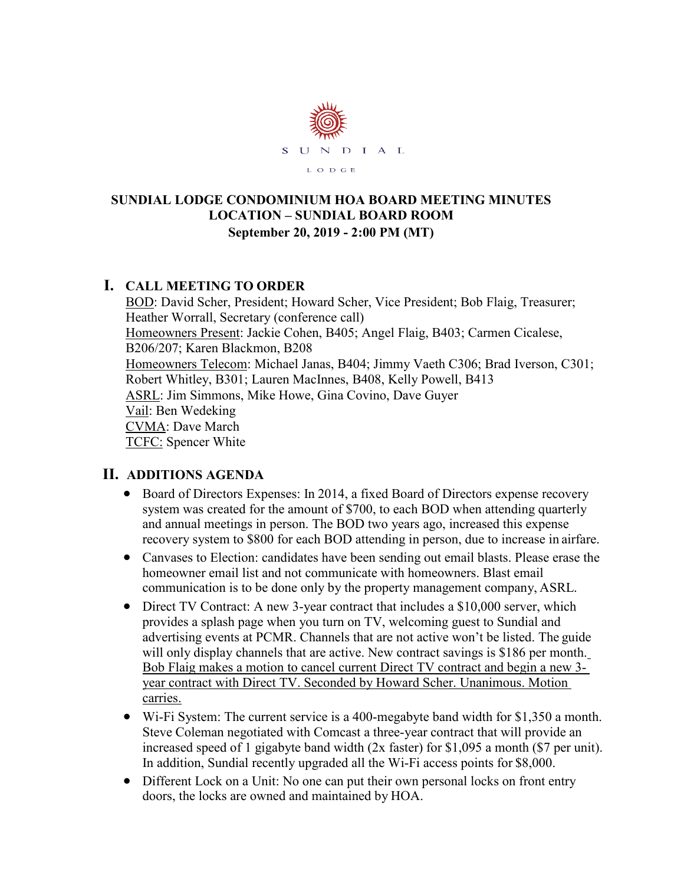

#### **SUNDIAL LODGE CONDOMINIUM HOA BOARD MEETING MINUTES LOCATION – SUNDIAL BOARD ROOM September 20, 2019 - 2:00 PM (MT)**

### **I. CALL MEETING TO ORDER**

BOD: David Scher, President; Howard Scher, Vice President; Bob Flaig, Treasurer; Heather Worrall, Secretary (conference call) Homeowners Present: Jackie Cohen, B405; Angel Flaig, B403; Carmen Cicalese, B206/207; Karen Blackmon, B208 Homeowners Telecom: Michael Janas, B404; Jimmy Vaeth C306; Brad Iverson, C301; Robert Whitley, B301; Lauren MacInnes, B408, Kelly Powell, B413 ASRL: Jim Simmons, Mike Howe, Gina Covino, Dave Guyer Vail: Ben Wedeking CVMA: Dave March TCFC: Spencer White

### **II. ADDITIONS AGENDA**

- Board of Directors Expenses: In 2014, a fixed Board of Directors expense recovery system was created for the amount of \$700, to each BOD when attending quarterly and annual meetings in person. The BOD two years ago, increased this expense recovery system to \$800 for each BOD attending in person, due to increase in airfare.
- Canvases to Election: candidates have been sending out email blasts. Please erase the homeowner email list and not communicate with homeowners. Blast email communication is to be done only by the property management company, ASRL.
- Direct TV Contract: A new 3-year contract that includes a \$10,000 server, which provides a splash page when you turn on TV, welcoming guest to Sundial and advertising events at PCMR. Channels that are not active won't be listed. The guide will only display channels that are active. New contract savings is \$186 per month. Bob Flaig makes a motion to cancel current Direct TV contract and begin a new 3 year contract with Direct TV. Seconded by Howard Scher. Unanimous. Motion carries.
- Wi-Fi System: The current service is a 400-megabyte band width for \$1,350 a month. Steve Coleman negotiated with Comcast a three-year contract that will provide an increased speed of 1 gigabyte band width (2x faster) for \$1,095 a month (\$7 per unit). In addition, Sundial recently upgraded all the Wi-Fi access points for \$8,000.
- Different Lock on a Unit: No one can put their own personal locks on front entry doors, the locks are owned and maintained by HOA.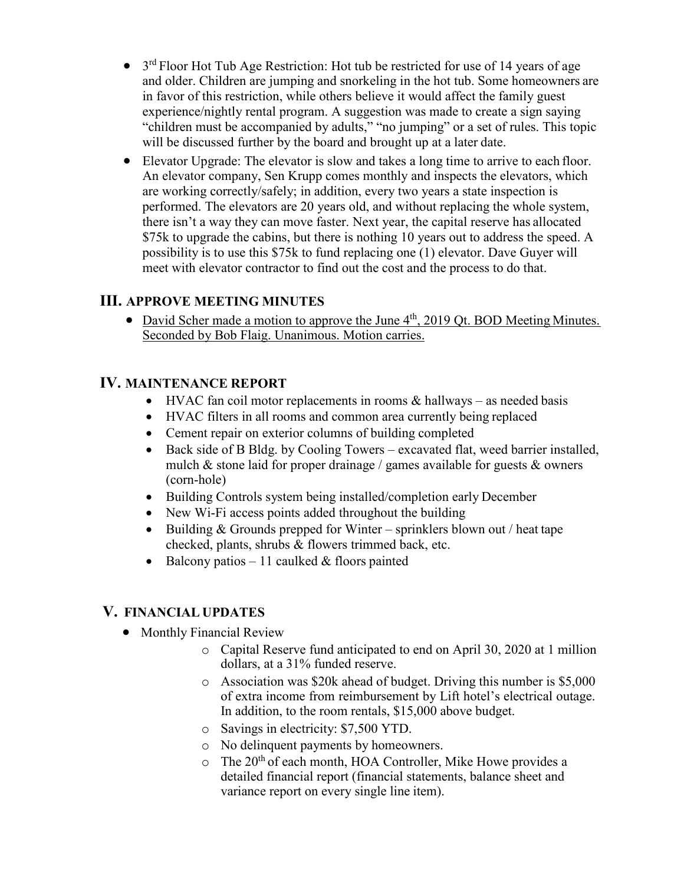- $\bullet$  3<sup>rd</sup> Floor Hot Tub Age Restriction: Hot tub be restricted for use of 14 years of age and older. Children are jumping and snorkeling in the hot tub. Some homeowners are in favor of this restriction, while others believe it would affect the family guest experience/nightly rental program. A suggestion was made to create a sign saying "children must be accompanied by adults," "no jumping" or a set of rules. This topic will be discussed further by the board and brought up at a later date.
- Elevator Upgrade: The elevator is slow and takes a long time to arrive to each floor. An elevator company, Sen Krupp comes monthly and inspects the elevators, which are working correctly/safely; in addition, every two years a state inspection is performed. The elevators are 20 years old, and without replacing the whole system, there isn't a way they can move faster. Next year, the capital reserve has allocated \$75k to upgrade the cabins, but there is nothing 10 years out to address the speed. A possibility is to use this \$75k to fund replacing one (1) elevator. Dave Guyer will meet with elevator contractor to find out the cost and the process to do that.

### **III. APPROVE MEETING MINUTES**

• David Scher made a motion to approve the June 4<sup>th</sup>, 2019 Qt. BOD Meeting Minutes. Seconded by Bob Flaig. Unanimous. Motion carries.

## **IV. MAINTENANCE REPORT**

- HVAC fan coil motor replacements in rooms  $\&$  hallways as needed basis
- HVAC filters in all rooms and common area currently being replaced
- Cement repair on exterior columns of building completed
- Back side of B Bldg. by Cooling Towers excavated flat, weed barrier installed, mulch & stone laid for proper drainage / games available for guests & owners (corn-hole)
- Building Controls system being installed/completion early December
- New Wi-Fi access points added throughout the building
- Building & Grounds prepped for Winter sprinklers blown out / heat tape checked, plants, shrubs & flowers trimmed back, etc.
- Balcony patios 11 caulked  $&$  floors painted

### **V. FINANCIAL UPDATES**

- Monthly Financial Review
	- o Capital Reserve fund anticipated to end on April 30, 2020 at 1 million dollars, at a 31% funded reserve.
	- o Association was \$20k ahead of budget. Driving this number is \$5,000 of extra income from reimbursement by Lift hotel's electrical outage. In addition, to the room rentals, \$15,000 above budget.
	- o Savings in electricity: \$7,500 YTD.
	- o No delinquent payments by homeowners.
	- $\circ$  The 20<sup>th</sup> of each month, HOA Controller, Mike Howe provides a detailed financial report (financial statements, balance sheet and variance report on every single line item).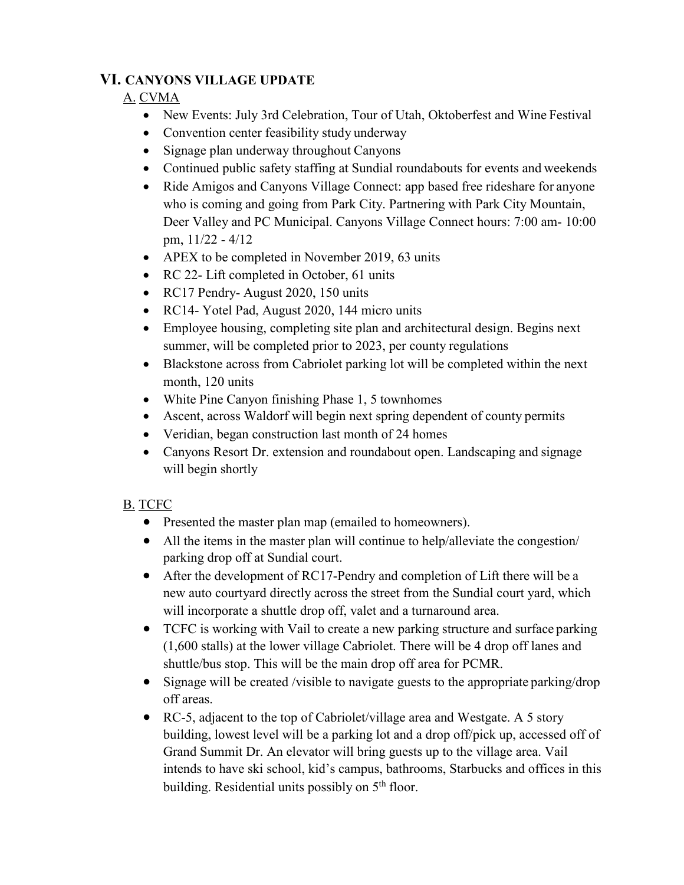### **VI. CANYONS VILLAGE UPDATE**

#### A. CVMA

- New Events: July 3rd Celebration, Tour of Utah, Oktoberfest and Wine Festival
- Convention center feasibility study underway
- Signage plan underway throughout Canyons
- Continued public safety staffing at Sundial roundabouts for events and weekends
- Ride Amigos and Canyons Village Connect: app based free rideshare for anyone who is coming and going from Park City. Partnering with Park City Mountain, Deer Valley and PC Municipal. Canyons Village Connect hours: 7:00 am- 10:00 pm, 11/22 - 4/12
- APEX to be completed in November 2019, 63 units
- RC 22- Lift completed in October, 61 units
- RC17 Pendry-August 2020, 150 units
- RC14- Yotel Pad, August 2020, 144 micro units
- Employee housing, completing site plan and architectural design. Begins next summer, will be completed prior to 2023, per county regulations
- Blackstone across from Cabriolet parking lot will be completed within the next month, 120 units
- White Pine Canyon finishing Phase 1, 5 townhomes
- Ascent, across Waldorf will begin next spring dependent of county permits
- Veridian, began construction last month of 24 homes
- Canyons Resort Dr. extension and roundabout open. Landscaping and signage will begin shortly

### B. TCFC

- Presented the master plan map (emailed to homeowners).
- All the items in the master plan will continue to help/alleviate the congestion/ parking drop off at Sundial court.
- After the development of RC17-Pendry and completion of Lift there will be a new auto courtyard directly across the street from the Sundial court yard, which will incorporate a shuttle drop off, valet and a turnaround area.
- TCFC is working with Vail to create a new parking structure and surface parking (1,600 stalls) at the lower village Cabriolet. There will be 4 drop off lanes and shuttle/bus stop. This will be the main drop off area for PCMR.
- Signage will be created /visible to navigate guests to the appropriate parking/drop off areas.
- RC-5, adjacent to the top of Cabriolet/village area and Westgate. A 5 story building, lowest level will be a parking lot and a drop off/pick up, accessed off of Grand Summit Dr. An elevator will bring guests up to the village area. Vail intends to have ski school, kid's campus, bathrooms, Starbucks and offices in this building. Residential units possibly on  $5<sup>th</sup>$  floor.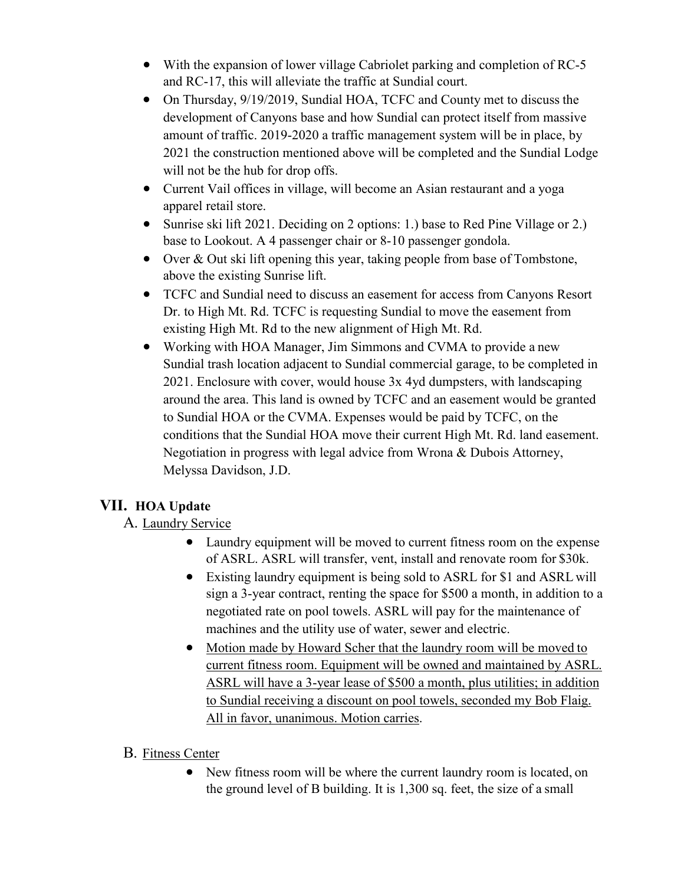- With the expansion of lower village Cabriolet parking and completion of RC-5 and RC-17, this will alleviate the traffic at Sundial court.
- On Thursday, 9/19/2019, Sundial HOA, TCFC and County met to discuss the development of Canyons base and how Sundial can protect itself from massive amount of traffic. 2019-2020 a traffic management system will be in place, by 2021 the construction mentioned above will be completed and the Sundial Lodge will not be the hub for drop offs.
- Current Vail offices in village, will become an Asian restaurant and a yoga apparel retail store.
- Sunrise ski lift 2021. Deciding on 2 options: 1.) base to Red Pine Village or 2.) base to Lookout. A 4 passenger chair or 8-10 passenger gondola.
- Over & Out ski lift opening this year, taking people from base of Tombstone, above the existing Sunrise lift.
- TCFC and Sundial need to discuss an easement for access from Canyons Resort Dr. to High Mt. Rd. TCFC is requesting Sundial to move the easement from existing High Mt. Rd to the new alignment of High Mt. Rd.
- Working with HOA Manager, Jim Simmons and CVMA to provide a new Sundial trash location adjacent to Sundial commercial garage, to be completed in 2021. Enclosure with cover, would house 3x 4yd dumpsters, with landscaping around the area. This land is owned by TCFC and an easement would be granted to Sundial HOA or the CVMA. Expenses would be paid by TCFC, on the conditions that the Sundial HOA move their current High Mt. Rd. land easement. Negotiation in progress with legal advice from Wrona & Dubois Attorney, Melyssa Davidson, J.D.

# **VII. HOA Update**

### A. Laundry Service

- Laundry equipment will be moved to current fitness room on the expense of ASRL. ASRL will transfer, vent, install and renovate room for \$30k.
- Existing laundry equipment is being sold to ASRL for \$1 and ASRL will sign a 3-year contract, renting the space for \$500 a month, in addition to a negotiated rate on pool towels. ASRL will pay for the maintenance of machines and the utility use of water, sewer and electric.
- Motion made by Howard Scher that the laundry room will be moved to current fitness room. Equipment will be owned and maintained by ASRL. ASRL will have a 3-year lease of \$500 a month, plus utilities; in addition to Sundial receiving a discount on pool towels, seconded my Bob Flaig. All in favor, unanimous. Motion carries.

### B. Fitness Center

• New fitness room will be where the current laundry room is located, on the ground level of B building. It is 1,300 sq. feet, the size of a small